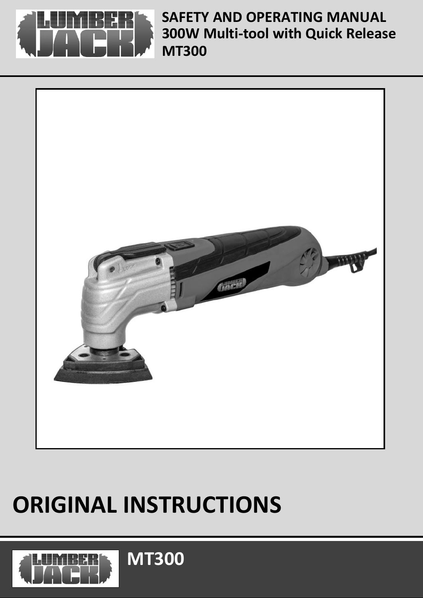

**300W Multi-tool with Quick Release MT300 SAFETY AND OPERATING MANUAL** 



# **ORIGINAL INSTRUCTIONS**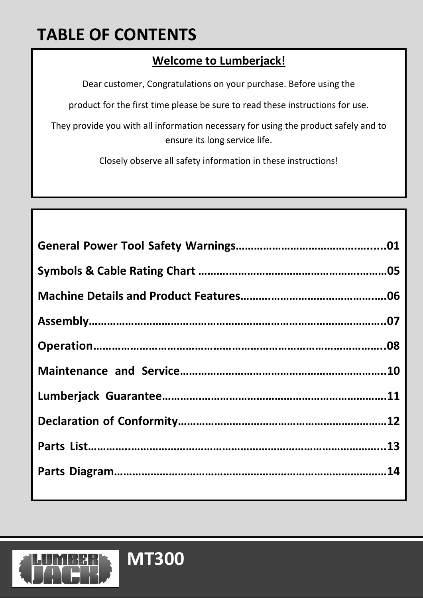# **TABLE OF CONTENTS**

### **Welcome to Lumberjack!**

Dear customer, Congratulations on your purchase. Before using the

product for the first time please be sure to read these instructions for use.

They provide you with all information necessary for using the product safely and to ensure its long service life.

Closely observe all safety information in these instructions!

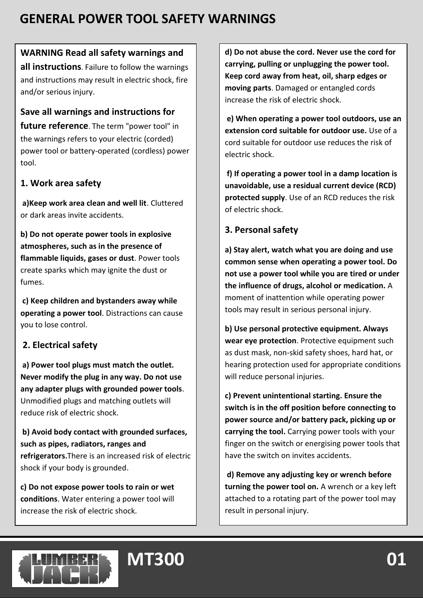### **WARNING Read all safety warnings and**

**all instructions**. Failure to follow the warnings and instructions may result in electric shock, fire and/or serious injury.

#### **Save all warnings and instructions for**

**future reference**. The term "power tool" in the warnings refers to your electric (corded) power tool or battery-operated (cordless) power tool.

### **1. Work area safety**

**a)Keep work area clean and well lit**. Cluttered or dark areas invite accidents.

**b) Do not operate power tools in explosive atmospheres, such as in the presence of flammable liquids, gases or dust**. Power tools create sparks which may ignite the dust or fumes.

**c) Keep children and bystanders away while operating a power tool**. Distractions can cause you to lose control.

### **2. Electrical safety**

**a) Power tool plugs must match the outlet. Never modify the plug in any way. Do not use any adapter plugs with grounded power tools**. Unmodified plugs and matching outlets will reduce risk of electric shock.

**b) Avoid body contact with grounded surfaces, such as pipes, radiators, ranges and refrigerators.**There is an increased risk of electric shock if your body is grounded.

**c) Do not expose power tools to rain or wet conditions**. Water entering a power tool will increase the risk of electric shock.

**d) Do not abuse the cord. Never use the cord for carrying, pulling or unplugging the power tool. Keep cord away from heat, oil, sharp edges or moving parts**. Damaged or entangled cords increase the risk of electric shock.

**e) When operating a power tool outdoors, use an extension cord suitable for outdoor use.** Use of a cord suitable for outdoor use reduces the risk of electric shock.

**f) If operating a power tool in a damp location is unavoidable, use a residual current device (RCD) protected supply**. Use of an RCD reduces the risk of electric shock.

### **3. Personal safety**

**a) Stay alert, watch what you are doing and use common sense when operating a power tool. Do not use a power tool while you are tired or under the influence of drugs, alcohol or medication.** A moment of inattention while operating power tools may result in serious personal injury.

**b) Use personal protective equipment. Always wear eye protection**. Protective equipment such as dust mask, non-skid safety shoes, hard hat, or hearing protection used for appropriate conditions will reduce personal injuries.

**c) Prevent unintentional starting. Ensure the switch is in the off position before connecting to power source and/or battery pack, picking up or carrying the tool.** Carrying power tools with your finger on the switch or energising power tools that have the switch on invites accidents.

**d) Remove any adjusting key or wrench before turning the power tool on.** A wrench or a key left attached to a rotating part of the power tool may result in personal injury.

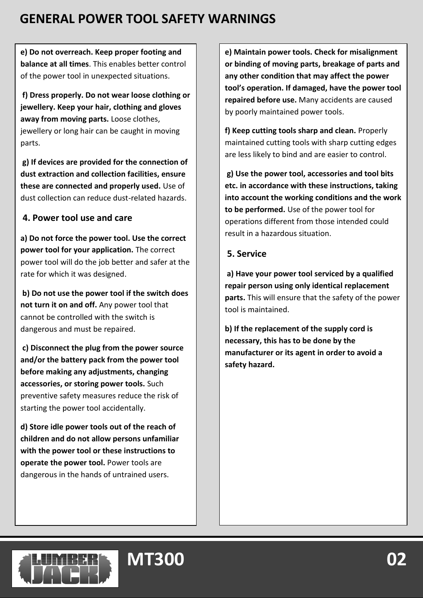**e) Do not overreach. Keep proper footing and balance at all times**. This enables better control of the power tool in unexpected situations.

**f) Dress properly. Do not wear loose clothing or jewellery. Keep your hair, clothing and gloves away from moving parts.** Loose clothes, jewellery or long hair can be caught in moving parts.

**g) If devices are provided for the connection of dust extraction and collection facilities, ensure these are connected and properly used.** Use of dust collection can reduce dust-related hazards.

### **4. Power tool use and care**

**a) Do not force the power tool. Use the correct power tool for your application.** The correct power tool will do the job better and safer at the rate for which it was designed.

**b) Do not use the power tool if the switch does not turn it on and off.** Any power tool that cannot be controlled with the switch is dangerous and must be repaired.

**c) Disconnect the plug from the power source and/or the battery pack from the power tool before making any adjustments, changing accessories, or storing power tools.** Such preventive safety measures reduce the risk of starting the power tool accidentally.

**d) Store idle power tools out of the reach of children and do not allow persons unfamiliar with the power tool or these instructions to operate the power tool.** Power tools are dangerous in the hands of untrained users.

**e) Maintain power tools. Check for misalignment or binding of moving parts, breakage of parts and any other condition that may affect the power tool's operation. If damaged, have the power tool repaired before use.** Many accidents are caused by poorly maintained power tools.

**f) Keep cutting tools sharp and clean.** Properly maintained cutting tools with sharp cutting edges are less likely to bind and are easier to control.

**g) Use the power tool, accessories and tool bits etc. in accordance with these instructions, taking into account the working conditions and the work to be performed.** Use of the power tool for operations different from those intended could result in a hazardous situation.

#### **5. Service**

**a) Have your power tool serviced by a qualified repair person using only identical replacement parts.** This will ensure that the safety of the power tool is maintained.

**b) If the replacement of the supply cord is necessary, this has to be done by the manufacturer or its agent in order to avoid a safety hazard.**

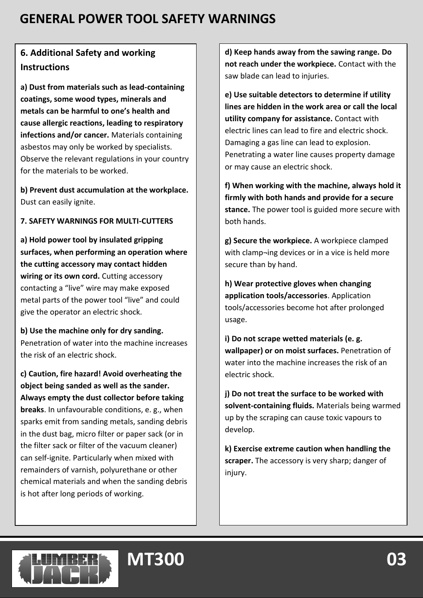### **6. Additional Safety and working Instructions**

**a) Dust from materials such as lead-containing coatings, some wood types, minerals and metals can be harmful to one's health and cause allergic reactions, leading to respiratory infections and/or cancer.** Materials containing asbestos may only be worked by specialists. Observe the relevant regulations in your country for the materials to be worked.

**b) Prevent dust accumulation at the workplace.** Dust can easily ignite.

#### **7. SAFETY WARNINGS FOR MULTI-CUTTERS**

**a) Hold power tool by insulated gripping surfaces, when performing an operation where the cutting accessory may contact hidden wiring or its own cord.** Cutting accessory contacting a "live" wire may make exposed metal parts of the power tool "live" and could give the operator an electric shock.

**b) Use the machine only for dry sanding.**  Penetration of water into the machine increases the risk of an electric shock.

**c) Caution, fire hazard! Avoid overheating the object being sanded as well as the sander. Always empty the dust collector before taking breaks**. In unfavourable conditions, e. g., when sparks emit from sanding metals, sanding debris in the dust bag, micro filter or paper sack (or in the filter sack or filter of the vacuum cleaner) can self-ignite. Particularly when mixed with remainders of varnish, polyurethane or other chemical materials and when the sanding debris is hot after long periods of working.

**d) Keep hands away from the sawing range. Do not reach under the workpiece.** Contact with the saw blade can lead to injuries.

**e) Use suitable detectors to determine if utility lines are hidden in the work area or call the local utility company for assistance.** Contact with electric lines can lead to fire and electric shock. Damaging a gas line can lead to explosion. Penetrating a water line causes property damage or may cause an electric shock.

**f) When working with the machine, always hold it firmly with both hands and provide for a secure stance.** The power tool is guided more secure with both hands.

**g) Secure the workpiece.** A workpiece clamped with clamp¬ing devices or in a vice is held more secure than by hand.

**h) Wear protective gloves when changing application tools/accessories**. Application tools/accessories become hot after prolonged usage.

**i) Do not scrape wetted materials (e. g. wallpaper) or on moist surfaces.** Penetration of water into the machine increases the risk of an electric shock.

**j) Do not treat the surface to be worked with solvent-containing fluids.** Materials being warmed up by the scraping can cause toxic vapours to develop.

**k) Exercise extreme caution when handling the scraper.** The accessory is very sharp; danger of injury.

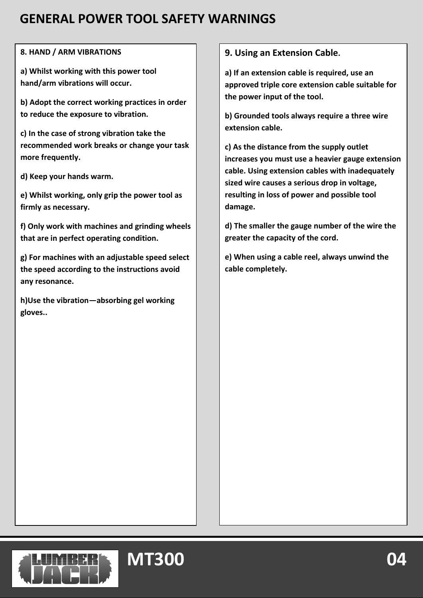#### **8. HAND / ARM VIBRATIONS**

**a) Whilst working with this power tool hand/arm vibrations will occur.**

**b) Adopt the correct working practices in order to reduce the exposure to vibration.**

**c) In the case of strong vibration take the recommended work breaks or change your task more frequently.**

**d) Keep your hands warm.**

**e) Whilst working, only grip the power tool as firmly as necessary.**

**f) Only work with machines and grinding wheels that are in perfect operating condition.**

**g) For machines with an adjustable speed select the speed according to the instructions avoid any resonance.**

**h)Use the vibration—absorbing gel working gloves..**

#### **9. Using an Extension Cable.**

**a) If an extension cable is required, use an approved triple core extension cable suitable for the power input of the tool.**

**b) Grounded tools always require a three wire extension cable.**

**c) As the distance from the supply outlet increases you must use a heavier gauge extension cable. Using extension cables with inadequately sized wire causes a serious drop in voltage, resulting in loss of power and possible tool damage.**

**d) The smaller the gauge number of the wire the greater the capacity of the cord.**

**e) When using a cable reel, always unwind the cable completely.**

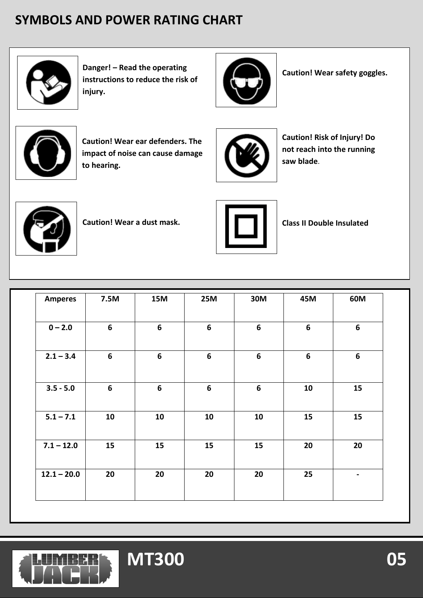# **SYMBOLS AND POWER RATING CHART**



**Danger! – Read the operating instructions to reduce the risk of injury.**



**Caution! Wear safety goggles.**



**Caution! Wear ear defenders. The impact of noise can cause damage to hearing.**



**Caution! Risk of Injury! Do not reach into the running saw blade**.



**Caution! Wear a dust mask. Class II Double Insulated**



| <b>Amperes</b> | 7.5M             | <b>15M</b>       | <b>25M</b>       | 30M              | 45M              | 60M            |
|----------------|------------------|------------------|------------------|------------------|------------------|----------------|
| $0 - 2.0$      | $\boldsymbol{6}$ | $\boldsymbol{6}$ | 6                | 6                | 6                | 6              |
| $2.1 - 3.4$    | $\boldsymbol{6}$ | $\boldsymbol{6}$ | $\boldsymbol{6}$ | $\boldsymbol{6}$ | $\boldsymbol{6}$ | $6\phantom{1}$ |
| $3.5 - 5.0$    | 6                | $\boldsymbol{6}$ | 6                | $6\phantom{1}$   | 10               | 15             |
| $5.1 - 7.1$    | 10               | 10               | 10               | 10               | 15               | 15             |
| $7.1 - 12.0$   | 15               | 15               | 15               | 15               | 20               | 20             |
| $12.1 - 20.0$  | 20               | 20               | 20               | 20               | 25               | $\blacksquare$ |
|                |                  |                  |                  |                  |                  |                |

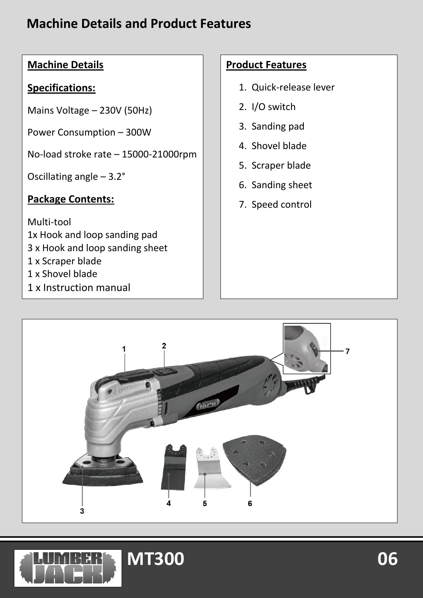### **Machine Details and Product Features**

### **Machine Details**

#### **Specifications:**

Mains Voltage – 230V (50Hz)

Power Consumption – 300W

No-load stroke rate – 15000-21000rpm

Oscillating angle – 3.2°

#### **Package Contents:**

Multi-tool 1x Hook and loop sanding pad 3 x Hook and loop sanding sheet 1 x Scraper blade 1 x Shovel blade

1 x Instruction manual

#### **Product Features**

- 1. Quick-release lever
- 2. I/O switch
- 3. Sanding pad
- 4. Shovel blade
- 5. Scraper blade
- 6. Sanding sheet
- 7. Speed control



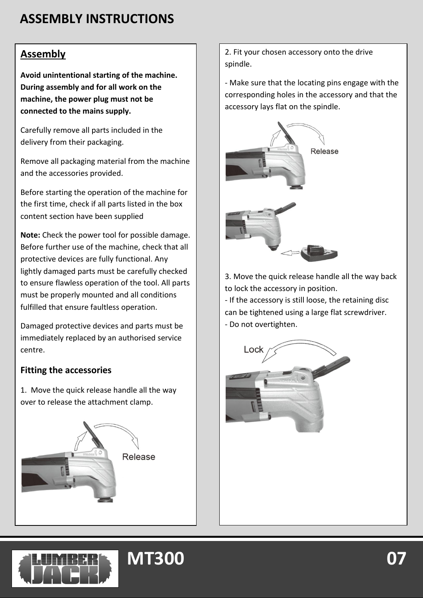# **ASSEMBLY INSTRUCTIONS**

#### **Assembly**

**Avoid unintentional starting of the machine. During assembly and for all work on the machine, the power plug must not be connected to the mains supply.**

Carefully remove all parts included in the delivery from their packaging.

Remove all packaging material from the machine and the accessories provided.

Before starting the operation of the machine for the first time, check if all parts listed in the box content section have been supplied

**Note:** Check the power tool for possible damage. Before further use of the machine, check that all protective devices are fully functional. Any lightly damaged parts must be carefully checked to ensure flawless operation of the tool. All parts must be properly mounted and all conditions fulfilled that ensure faultless operation.

Damaged protective devices and parts must be immediately replaced by an authorised service centre.

#### **Fitting the accessories**

1. Move the quick release handle all the way over to release the attachment clamp.

**MT300** 



2. Fit your chosen accessory onto the drive spindle.

- Make sure that the locating pins engage with the corresponding holes in the accessory and that the accessory lays flat on the spindle.



3. Move the quick release handle all the way back to lock the accessory in position.

- If the accessory is still loose, the retaining disc can be tightened using a large flat screwdriver. - Do not overtighten.



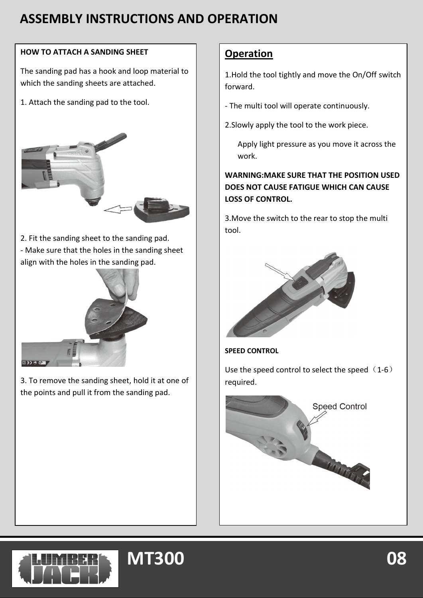## **ASSEMBLY INSTRUCTIONS AND OPERATION**

#### **HOW TO ATTACH A SANDING SHEET**

The sanding pad has a hook and loop material to which the sanding sheets are attached.

1. Attach the sanding pad to the tool.



2. Fit the sanding sheet to the sanding pad. - Make sure that the holes in the sanding sheet align with the holes in the sanding pad.



3. To remove the sanding sheet, hold it at one of the points and pull it from the sanding pad.

#### **Operation**

1.Hold the tool tightly and move the On/Off switch forward.

- The multi tool will operate continuously.
- 2.Slowly apply the tool to the work piece.
	- Apply light pressure as you move it across the work.

**WARNING:MAKE SURE THAT THE POSITION USED DOES NOT CAUSE FATIGUE WHICH CAN CAUSE LOSS OF CONTROL.**

3.Move the switch to the rear to stop the multi tool.



**SPEED CONTROL**

Use the speed control to select the speed  $(1-6)$ required.





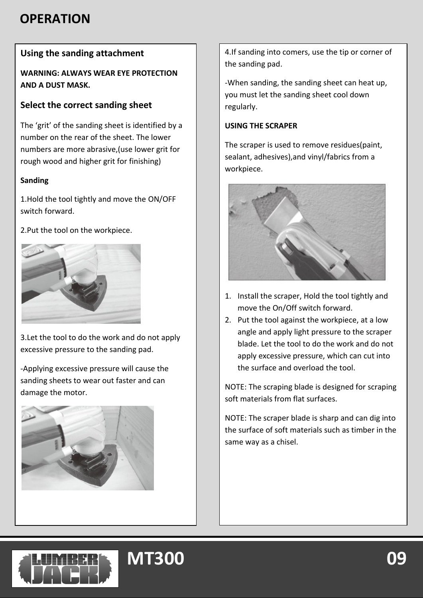### **OPERATION**

### **Using the sanding attachment**

**WARNING: ALWAYS WEAR EYE PROTECTION AND A DUST MASK.**

#### **Select the correct sanding sheet**

The 'grit' of the sanding sheet is identified by a number on the rear of the sheet. The lower numbers are more abrasive,(use lower grit for rough wood and higher grit for finishing)

#### **Sanding**

1.Hold the tool tightly and move the ON/OFF switch forward.

2.Put the tool on the workpiece.



3.Let the tool to do the work and do not apply excessive pressure to the sanding pad.

-Applying excessive pressure will cause the sanding sheets to wear out faster and can damage the motor.



4.If sanding into comers, use the tip or corner of the sanding pad.

-When sanding, the sanding sheet can heat up, you must let the sanding sheet cool down regularly.

#### **USING THE SCRAPER**

The scraper is used to remove residues(paint, sealant, adhesives),and vinyl/fabrics from a workpiece.



- 1. Install the scraper, Hold the tool tightly and move the On/Off switch forward.
- 2. Put the tool against the workpiece, at a low angle and apply light pressure to the scraper blade. Let the tool to do the work and do not apply excessive pressure, which can cut into the surface and overload the tool.

NOTE: The scraping blade is designed for scraping soft materials from flat surfaces.

NOTE: The scraper blade is sharp and can dig into the surface of soft materials such as timber in the same way as a chisel.

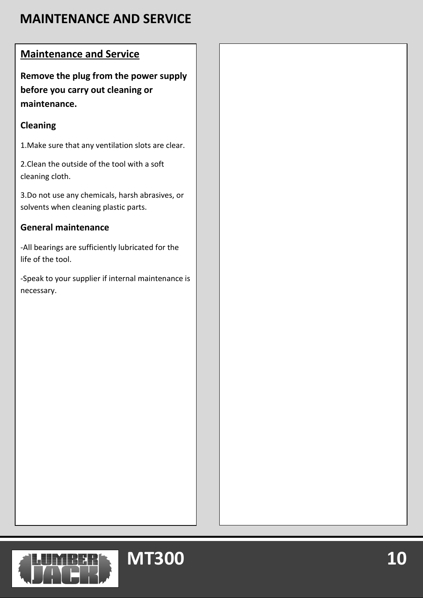# **MAINTENANCE AND SERVICE**

### **Maintenance and Service**

**Remove the plug from the power supply before you carry out cleaning or maintenance.**

### **Cleaning**

1.Make sure that any ventilation slots are clear.

2.Clean the outside of the tool with a soft cleaning cloth.

3.Do not use any chemicals, harsh abrasives, or solvents when cleaning plastic parts.

### **General maintenance**

-All bearings are sufficiently lubricated for the life of the tool.

-Speak to your supplier if internal maintenance is necessary.



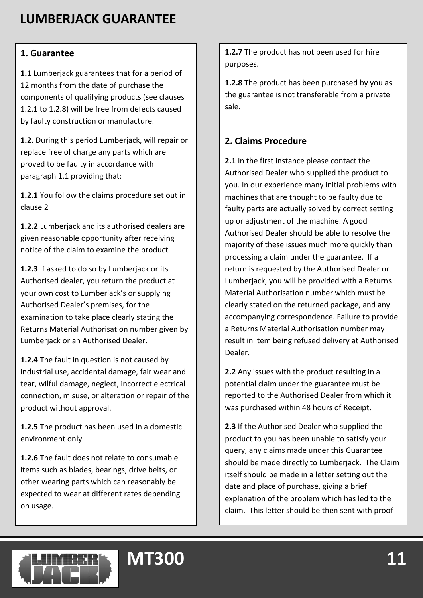# **LUMBERJACK GUARANTEE**

#### **1. Guarantee**

**1.1** Lumberjack guarantees that for a period of 12 months from the date of purchase the components of qualifying products (see clauses 1.2.1 to 1.2.8) will be free from defects caused by faulty construction or manufacture.

**1.2.** During this period Lumberjack, will repair or replace free of charge any parts which are proved to be faulty in accordance with paragraph 1.1 providing that:

**1.2.1** You follow the claims procedure set out in clause 2

**1.2.2** Lumberjack and its authorised dealers are given reasonable opportunity after receiving notice of the claim to examine the product

**1.2.3** If asked to do so by Lumberjack or its Authorised dealer, you return the product at your own cost to Lumberjack's or supplying Authorised Dealer's premises, for the examination to take place clearly stating the Returns Material Authorisation number given by Lumberjack or an Authorised Dealer.

**1.2.4** The fault in question is not caused by industrial use, accidental damage, fair wear and tear, wilful damage, neglect, incorrect electrical connection, misuse, or alteration or repair of the product without approval.

**1.2.5** The product has been used in a domestic environment only

**1.2.6** The fault does not relate to consumable items such as blades, bearings, drive belts, or other wearing parts which can reasonably be expected to wear at different rates depending on usage.

**MT300** 

**1.2.7** The product has not been used for hire purposes.

**1.2.8** The product has been purchased by you as the guarantee is not transferable from a private sale.

#### **2. Claims Procedure**

**2.1** In the first instance please contact the Authorised Dealer who supplied the product to you. In our experience many initial problems with machines that are thought to be faulty due to faulty parts are actually solved by correct setting up or adjustment of the machine. A good Authorised Dealer should be able to resolve the majority of these issues much more quickly than processing a claim under the guarantee. If a return is requested by the Authorised Dealer or Lumberjack, you will be provided with a Returns Material Authorisation number which must be clearly stated on the returned package, and any accompanying correspondence. Failure to provide a Returns Material Authorisation number may result in item being refused delivery at Authorised Dealer.

**2.2** Any issues with the product resulting in a potential claim under the guarantee must be reported to the Authorised Dealer from which it was purchased within 48 hours of Receipt.

**2.3** If the Authorised Dealer who supplied the product to you has been unable to satisfy your query, any claims made under this Guarantee should be made directly to Lumberjack. The Claim itself should be made in a letter setting out the date and place of purchase, giving a brief explanation of the problem which has led to the claim. This letter should be then sent with proof

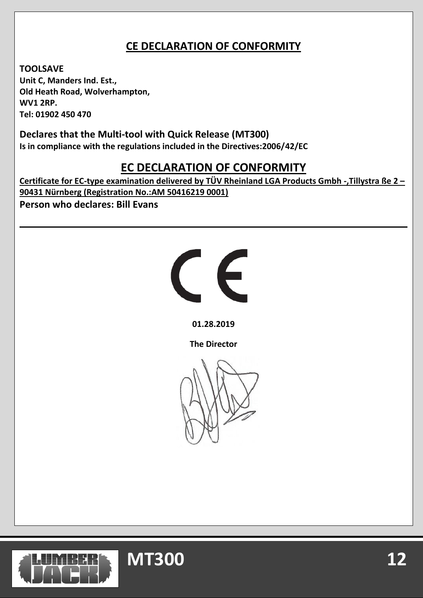### **CE DECLARATION OF CONFORMITY**

**TOOLSAVE Unit C, Manders Ind. Est., Old Heath Road, Wolverhampton, WV1 2RP. Tel: 01902 450 470**

**Declares that the Multi-tool with Quick Release (MT300) Is in compliance with the regulations included in the Directives:2006/42/EC**

### **EC DECLARATION OF CONFORMITY**

**Certificate for EC-type examination delivered by TÜV Rheinland LGA Products Gmbh -,Tillystra ße 2 – 90431 Nürnberg (Registration No.:AM 50416219 0001) Person who declares: Bill Evans**



**01.28.2019**

**The Director**



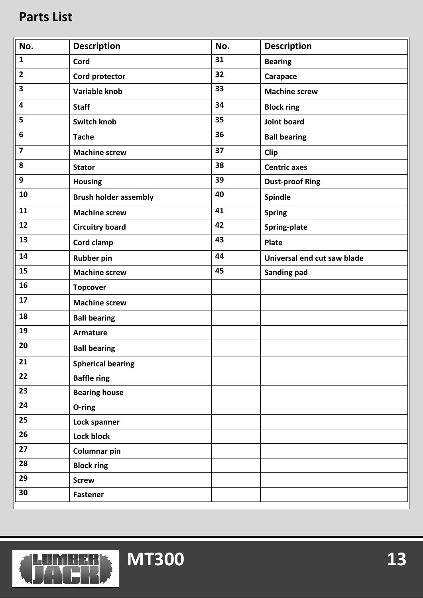### **Parts List**

| No.                     | <b>Description</b>           | No. | <b>Description</b>          |
|-------------------------|------------------------------|-----|-----------------------------|
| $\mathbf{1}$            | Cord                         | 31  | <b>Bearing</b>              |
| $\overline{2}$          | Cord protector               | 32  | Carapace                    |
| 3                       | Variable knob                | 33  | <b>Machine screw</b>        |
| 4                       | <b>Staff</b>                 | 34  | <b>Block ring</b>           |
| 5                       | <b>Switch knob</b>           | 35  | Joint board                 |
| 6                       | <b>Tache</b>                 | 36  | <b>Ball bearing</b>         |
| $\overline{\mathbf{z}}$ | <b>Machine screw</b>         | 37  | Clip                        |
| 8                       | <b>Stator</b>                | 38  | <b>Centric axes</b>         |
| 9                       | <b>Housing</b>               | 39  | <b>Dust-proof Ring</b>      |
| 10                      | <b>Brush holder assembly</b> | 40  | Spindle                     |
| 11                      | <b>Machine screw</b>         | 41  | <b>Spring</b>               |
| 12                      | <b>Circuitry board</b>       | 42  | Spring-plate                |
| 13                      | Cord clamp                   | 43  | <b>Plate</b>                |
| 14                      | <b>Rubber pin</b>            | 44  | Universal end cut saw blade |
| 15                      | <b>Machine screw</b>         | 45  | Sanding pad                 |
| 16                      | <b>Topcover</b>              |     |                             |
| 17                      | <b>Machine screw</b>         |     |                             |
| 18                      | <b>Ball bearing</b>          |     |                             |
| 19                      | <b>Armature</b>              |     |                             |
| 20                      | <b>Ball bearing</b>          |     |                             |
| 21                      | <b>Spherical bearing</b>     |     |                             |
| 22                      | <b>Baffle ring</b>           |     |                             |
| 23                      | <b>Bearing house</b>         |     |                             |
| 24                      | O-ring                       |     |                             |
| 25                      | Lock spanner                 |     |                             |
| 26                      | Lock block                   |     |                             |
| 27                      | Columnar pin                 |     |                             |
| 28                      | <b>Block ring</b>            |     |                             |
| 29                      | <b>Screw</b>                 |     |                             |
| 30                      | <b>Fastener</b>              |     |                             |